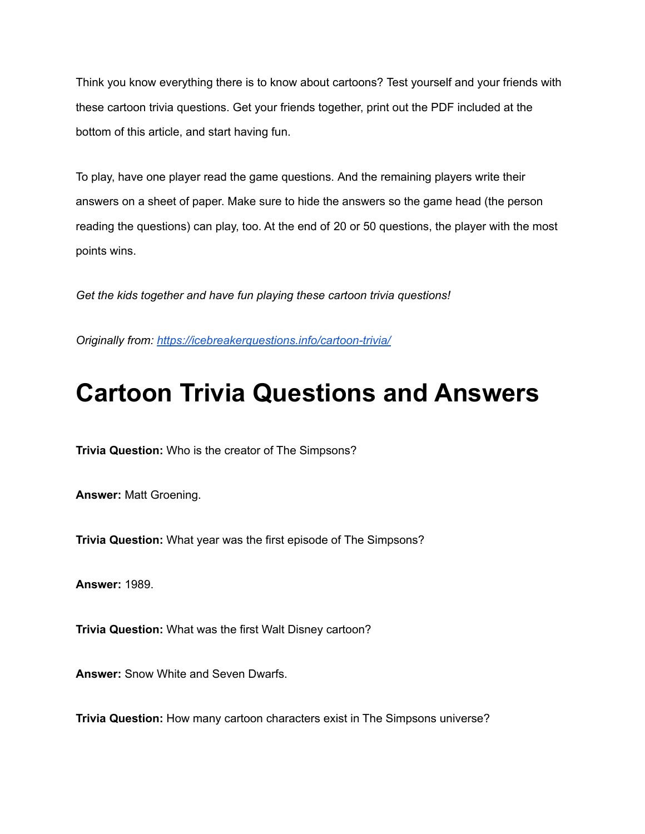Think you know everything there is to know about cartoons? Test yourself and your friends with these cartoon trivia questions. Get your friends together, print out the PDF included at the bottom of this article, and start having fun.

To play, have one player read the game questions. And the remaining players write their answers on a sheet of paper. Make sure to hide the answers so the game head (the person reading the questions) can play, too. At the end of 20 or 50 questions, the player with the most points wins.

*Get the kids together and have fun playing these cartoon trivia questions!*

*Originally from: <https://icebreakerquestions.info/cartoon-trivia/>*

## **Cartoon Trivia Questions and Answers**

**Trivia Question:** Who is the creator of The Simpsons?

**Answer:** Matt Groening.

**Trivia Question:** What year was the first episode of The Simpsons?

**Answer:** 1989.

**Trivia Question:** What was the first Walt Disney cartoon?

**Answer:** Snow White and Seven Dwarfs.

**Trivia Question:** How many cartoon characters exist in The Simpsons universe?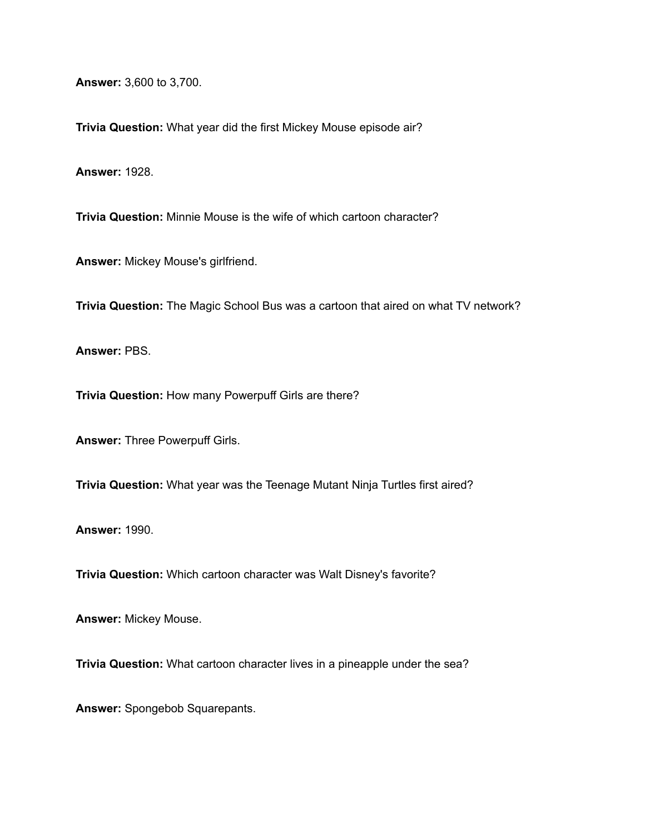**Answer:** 3,600 to 3,700.

**Trivia Question:** What year did the first Mickey Mouse episode air?

**Answer:** 1928.

**Trivia Question:** Minnie Mouse is the wife of which cartoon character?

**Answer:** Mickey Mouse's girlfriend.

**Trivia Question:** The Magic School Bus was a cartoon that aired on what TV network?

**Answer:** PBS.

**Trivia Question:** How many Powerpuff Girls are there?

**Answer:** Three Powerpuff Girls.

**Trivia Question:** What year was the Teenage Mutant Ninja Turtles first aired?

**Answer:** 1990.

**Trivia Question:** Which cartoon character was Walt Disney's favorite?

**Answer:** Mickey Mouse.

**Trivia Question:** What cartoon character lives in a pineapple under the sea?

**Answer:** Spongebob Squarepants.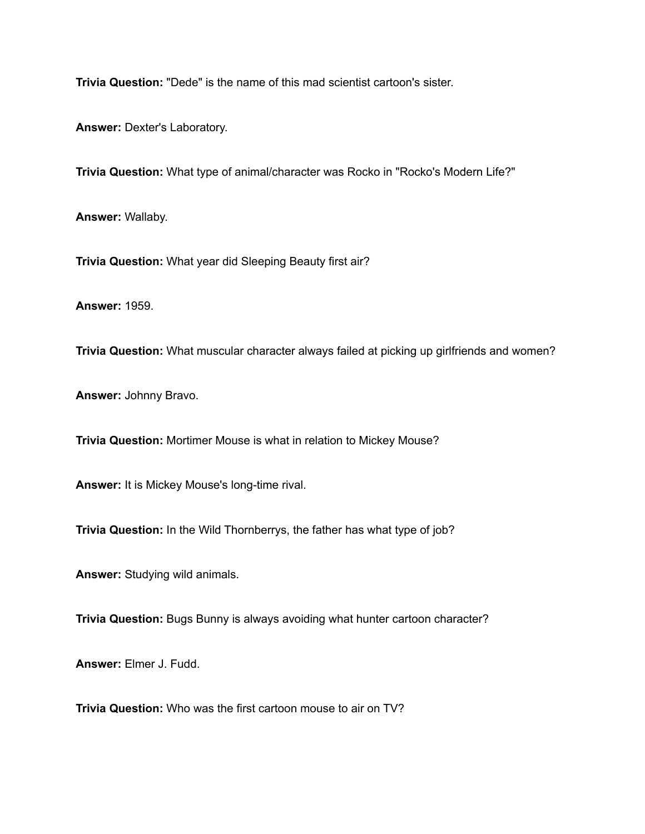**Trivia Question:** "Dede" is the name of this mad scientist cartoon's sister.

**Answer:** Dexter's Laboratory.

**Trivia Question:** What type of animal/character was Rocko in "Rocko's Modern Life?"

**Answer:** Wallaby.

**Trivia Question:** What year did Sleeping Beauty first air?

**Answer:** 1959.

**Trivia Question:** What muscular character always failed at picking up girlfriends and women?

**Answer:** Johnny Bravo.

**Trivia Question:** Mortimer Mouse is what in relation to Mickey Mouse?

**Answer:** It is Mickey Mouse's long-time rival.

**Trivia Question:** In the Wild Thornberrys, the father has what type of job?

**Answer:** Studying wild animals.

**Trivia Question:** Bugs Bunny is always avoiding what hunter cartoon character?

**Answer:** Elmer J. Fudd.

**Trivia Question:** Who was the first cartoon mouse to air on TV?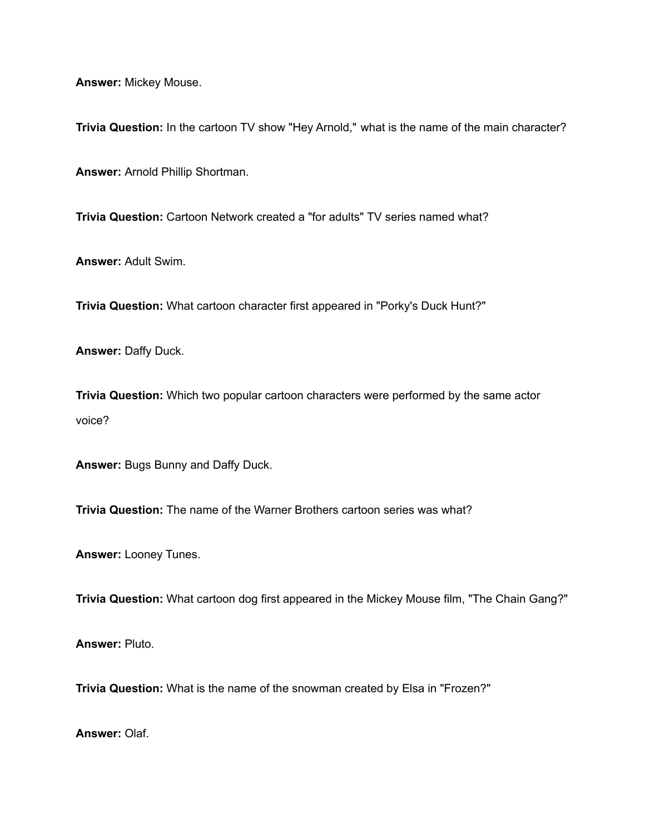**Answer:** Mickey Mouse.

**Trivia Question:** In the cartoon TV show "Hey Arnold," what is the name of the main character?

**Answer:** Arnold Phillip Shortman.

**Trivia Question:** Cartoon Network created a "for adults" TV series named what?

**Answer:** Adult Swim.

**Trivia Question:** What cartoon character first appeared in "Porky's Duck Hunt?"

**Answer:** Daffy Duck.

**Trivia Question:** Which two popular cartoon characters were performed by the same actor voice?

**Answer:** Bugs Bunny and Daffy Duck.

**Trivia Question:** The name of the Warner Brothers cartoon series was what?

**Answer:** Looney Tunes.

**Trivia Question:** What cartoon dog first appeared in the Mickey Mouse film, "The Chain Gang?"

**Answer:** Pluto.

**Trivia Question:** What is the name of the snowman created by Elsa in "Frozen?"

**Answer:** Olaf.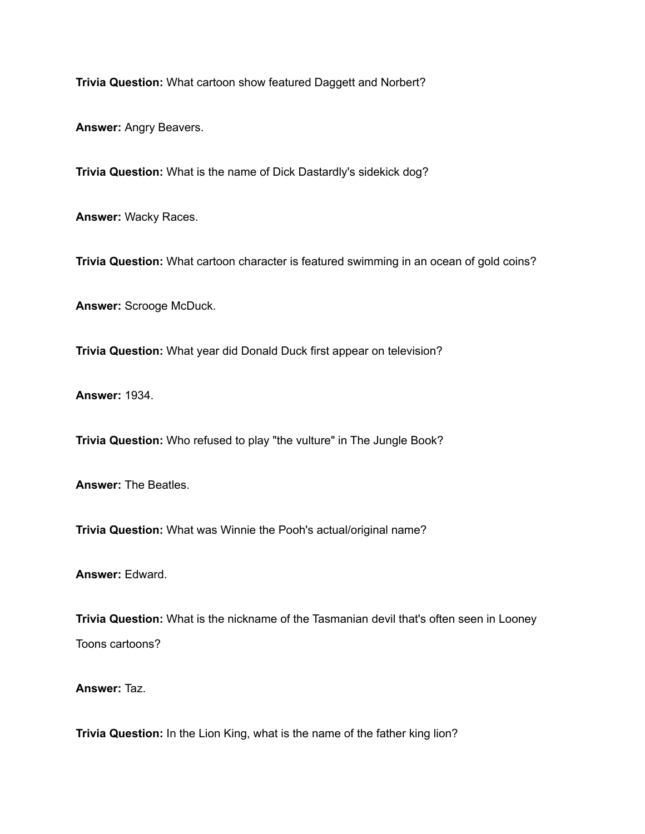**Trivia Question:** What cartoon show featured Daggett and Norbert?

**Answer:** Angry Beavers.

**Trivia Question:** What is the name of Dick Dastardly's sidekick dog?

**Answer:** Wacky Races.

**Trivia Question:** What cartoon character is featured swimming in an ocean of gold coins?

**Answer:** Scrooge McDuck.

**Trivia Question:** What year did Donald Duck first appear on television?

**Answer:** 1934.

**Trivia Question:** Who refused to play "the vulture" in The Jungle Book?

**Answer:** The Beatles.

**Trivia Question:** What was Winnie the Pooh's actual/original name?

**Answer:** Edward.

**Trivia Question:** What is the nickname of the Tasmanian devil that's often seen in Looney Toons cartoons?

**Answer:** Taz.

**Trivia Question:** In the Lion King, what is the name of the father king lion?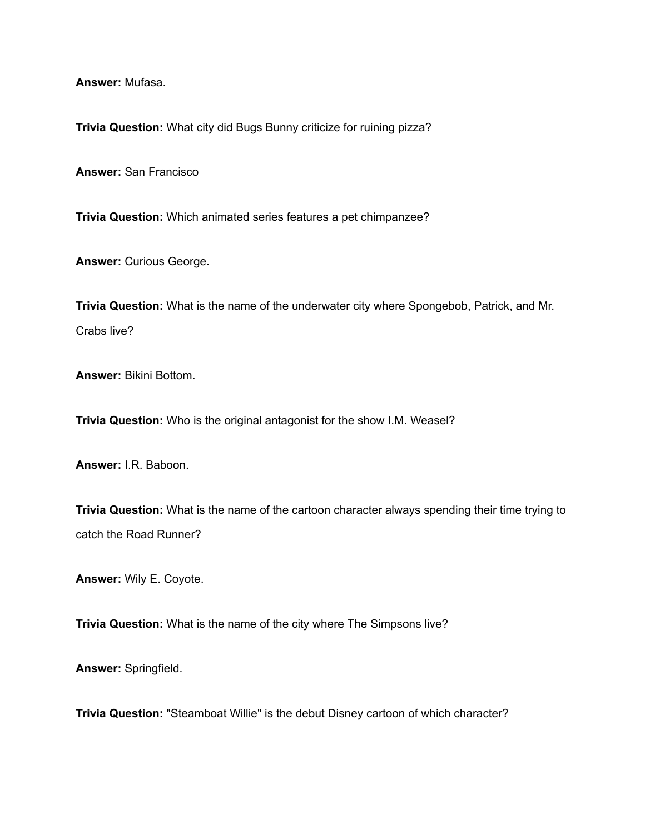**Answer:** Mufasa.

**Trivia Question:** What city did Bugs Bunny criticize for ruining pizza?

**Answer:** San Francisco

**Trivia Question:** Which animated series features a pet chimpanzee?

**Answer:** Curious George.

**Trivia Question:** What is the name of the underwater city where Spongebob, Patrick, and Mr. Crabs live?

**Answer:** Bikini Bottom.

**Trivia Question:** Who is the original antagonist for the show I.M. Weasel?

**Answer:** I.R. Baboon.

**Trivia Question:** What is the name of the cartoon character always spending their time trying to catch the Road Runner?

**Answer:** Wily E. Coyote.

**Trivia Question:** What is the name of the city where The Simpsons live?

**Answer:** Springfield.

**Trivia Question:** "Steamboat Willie" is the debut Disney cartoon of which character?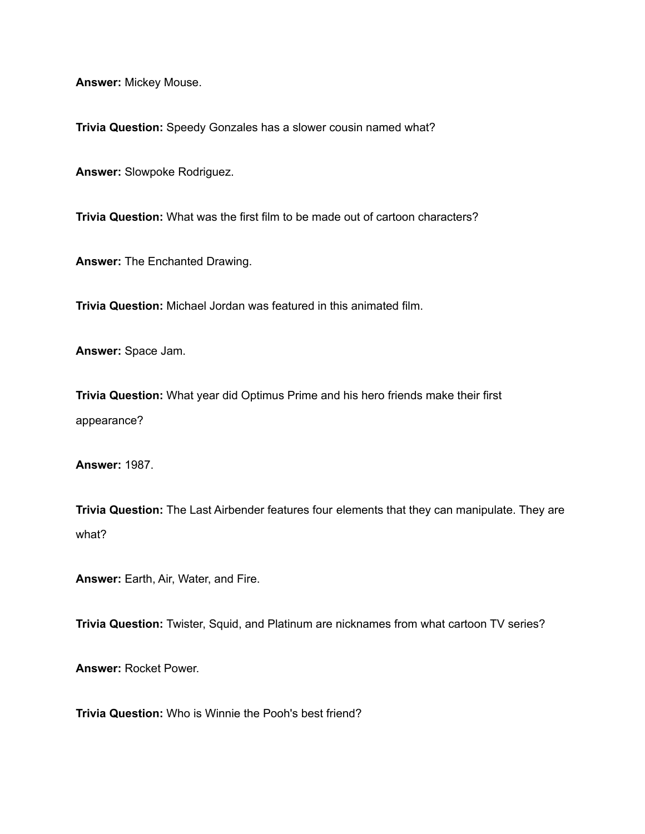**Answer:** Mickey Mouse.

**Trivia Question:** Speedy Gonzales has a slower cousin named what?

**Answer:** Slowpoke Rodriguez.

**Trivia Question:** What was the first film to be made out of cartoon characters?

**Answer:** The Enchanted Drawing.

**Trivia Question:** Michael Jordan was featured in this animated film.

**Answer:** Space Jam.

**Trivia Question:** What year did Optimus Prime and his hero friends make their first appearance?

**Answer:** 1987.

**Trivia Question:** The Last Airbender features four elements that they can manipulate. They are what?

**Answer:** Earth, Air, Water, and Fire.

**Trivia Question:** Twister, Squid, and Platinum are nicknames from what cartoon TV series?

**Answer:** Rocket Power.

**Trivia Question:** Who is Winnie the Pooh's best friend?